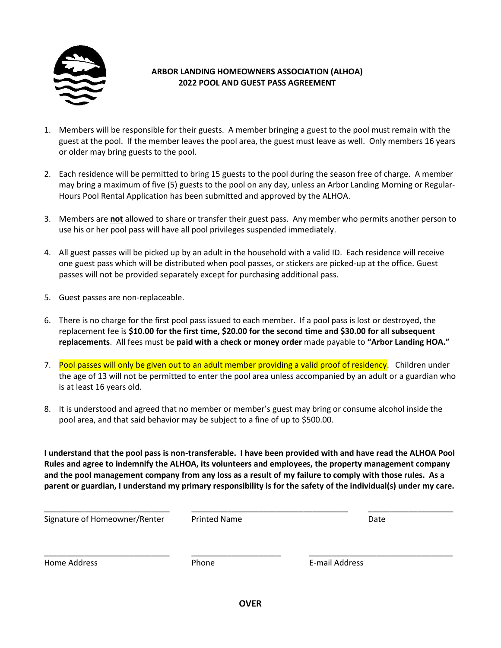

## **ARBOR LANDING HOMEOWNERS ASSOCIATION (ALHOA) 2022 POOL AND GUEST PASS AGREEMENT**

- 1. Members will be responsible for their guests. A member bringing a guest to the pool must remain with the guest at the pool. If the member leaves the pool area, the guest must leave as well. Only members 16 years or older may bring guests to the pool.
- 2. Each residence will be permitted to bring 15 guests to the pool during the season free of charge. A member may bring a maximum of five (5) guests to the pool on any day, unless an Arbor Landing Morning or Regular-Hours Pool Rental Application has been submitted and approved by the ALHOA.
- 3. Members are **not** allowed to share or transfer their guest pass. Any member who permits another person to use his or her pool pass will have all pool privileges suspended immediately.
- 4. All guest passes will be picked up by an adult in the household with a valid ID. Each residence will receive one guest pass which will be distributed when pool passes, or stickers are picked-up at the office. Guest passes will not be provided separately except for purchasing additional pass.
- 5. Guest passes are non-replaceable.
- 6. There is no charge for the first pool pass issued to each member. If a pool pass is lost or destroyed, the replacement fee is **\$10.00 for the first time, \$20.00 for the second time and \$30.00 for all subsequent replacements**. All fees must be **paid with a check or money order** made payable to **"Arbor Landing HOA."**
- 7. Pool passes will only be given out to an adult member providing a valid proof of residency. Children under the age of 13 will not be permitted to enter the pool area unless accompanied by an adult or a guardian who is at least 16 years old.
- 8. It is understood and agreed that no member or member's guest may bring or consume alcohol inside the pool area, and that said behavior may be subject to a fine of up to \$500.00.

**I understand that the pool pass is non-transferable. I have been provided with and have read the ALHOA Pool Rules and agree to indemnify the ALHOA, its volunteers and employees, the property management company and the pool management company from any loss as a result of my failure to comply with those rules. As a parent or guardian, I understand my primary responsibility is for the safety of the individual(s) under my care.**

| Signature of Homeowner/Renter | Printed Name | Date           |  |
|-------------------------------|--------------|----------------|--|
| Home Address                  | Phone        | E-mail Address |  |